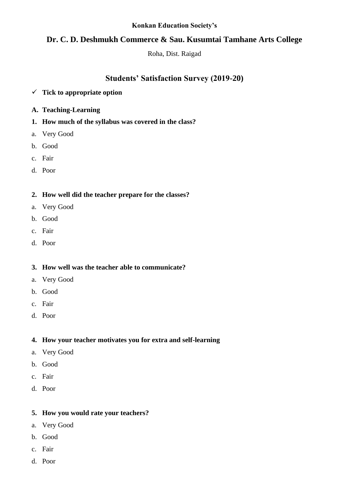### **Konkan Education Society's**

# **Dr. C. D. Deshmukh Commerce & Sau. Kusumtai Tamhane Arts College**

### Roha, Dist. Raigad

# **Students' Satisfaction Survey (2019-20)**

- ✓ **Tick to appropriate option**
- **A. Teaching-Learning**
- **1. How much of the syllabus was covered in the class?**
- a. Very Good
- b. Good
- c. Fair
- d. Poor

### **2. How well did the teacher prepare for the classes?**

- a. Very Good
- b. Good
- c. Fair
- d. Poor

### **3. How well was the teacher able to communicate?**

- a. Very Good
- b. Good
- c. Fair
- d. Poor

## **4. How your teacher motivates you for extra and self-learning**

- a. Very Good
- b. Good
- c. Fair
- d. Poor

### **5. How you would rate your teachers?**

- a. Very Good
- b. Good
- c. Fair
- d. Poor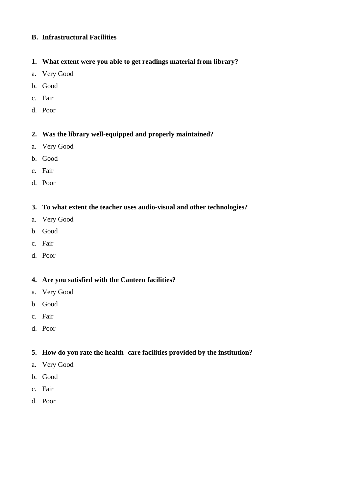### **B. Infrastructural Facilities**

## **1. What extent were you able to get readings material from library?**

- a. Very Good
- b. Good
- c. Fair
- d. Poor

## **2. Was the library well-equipped and properly maintained?**

- a. Very Good
- b. Good
- c. Fair
- d. Poor

### **3. To what extent the teacher uses audio-visual and other technologies?**

- a. Very Good
- b. Good
- c. Fair
- d. Poor

## **4. Are you satisfied with the Canteen facilities?**

- a. Very Good
- b. Good
- c. Fair
- d. Poor

## **5. How do you rate the health- care facilities provided by the institution?**

- a. Very Good
- b. Good
- c. Fair
- d. Poor